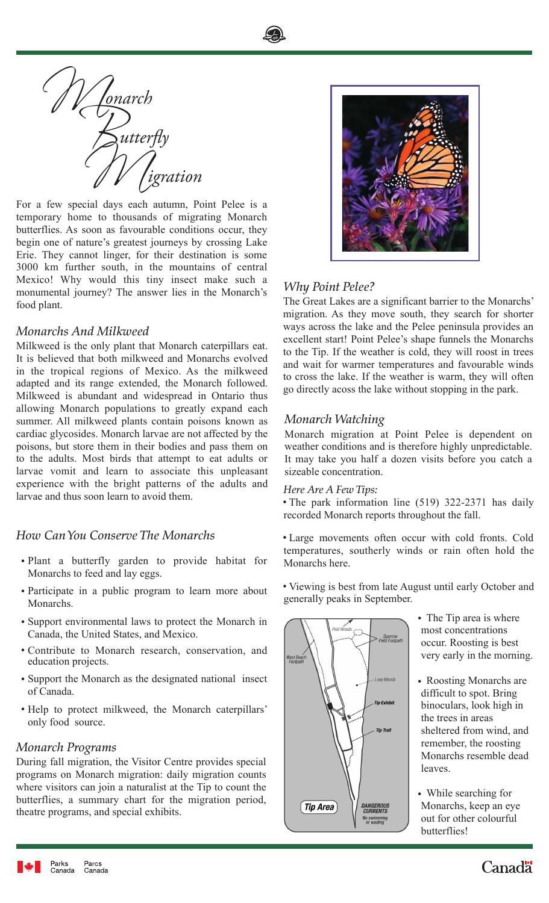



temporary home to thousands of migrating Monarch butterflies. As soon as favourable conditions occur, they begin one of nature's greatest journeys by crossing Lake Erie. They cannot linger, for their destination is some 3000 km further south, in the mountains of central Mexico! Why would this tiny insect make such a monumental journey? The answer lies in the Monarch's food plant.

# *Monarchs And Milkweed*

Milkweed is the only plant that Monarch caterpillars eat. It is believed that both milkweed and Monarchs evolved in the tropical regions of Mexico. As the milkweed adapted and its range extended, the Monarch followed. Milkweed is abundant and widespread in Ontario thus allowing Monarch populations to greatly expand each summer. All milkweed plants contain poisons known as cardiac glycosides. Monarch larvae are not affected by the poisons, but store them in their bodies and pass them on to the adults. Most birds that attempt to eat adults or larvae vomit and learn to associate this unpleasant experience with the bright patterns of the adults and larvae and thus soon learn to avoid them.

# *How Can You Conserve The Monarchs*

- Plant a butterfly garden to provide habitat for Monarchs to feed and lay eggs.
- Participate in a public program to learn more about viewing is best from face Au generally peaks in September. Monarchs.
- Support environmental laws to protect the Monarch in Canada, the United States, and Mexico.
- Contribute to Monarch research, conservation, and education projects.
- Support the Monarch as the designated national insect of Canada.
- Help to protect milkweed, the Monarch caterpillars' only food source.

# *Monarch Programs*

During fall migration, the Visitor Centre provides special programs on Monarch migration: daily migration counts where visitors can join a naturalist at the Tip to count the butterflies, a summary chart for the migration period, theatre programs, and special exhibits.



# *Why Point Pelee?*

The Great Lakes are a significant barrier to the Monarchs' migration. As they move south, they search for shorter ways across the lake and the Pelee peninsula provides an excellent start! Point Pelee's shape funnels the Monarchs to the Tip. If the weather is cold, they will roost in trees and wait for warmer temperatures and favourable winds to cross the lake. If the weather is warm, they will often go directly acoss the lake without stopping in the park.

# *Monarch Watching*

Monarch migration at Point Pelee is dependent on weather conditions and is therefore highly unpredictable. It may take you half a dozen visits before you catch a sizeable concentration.

#### *Here Are A Few Tips:*

The park information line (519) 322-2371 has daily recorded Monarch reports throughout the fall.

Large movements often occur with cold fronts. Cold temperatures, southerly winds or rain often hold the Monarchs here.

Viewing is best from late August until early October and



- The Tip area is where most concentrations occur. Roosting is best very early in the morning.
- Roosting Monarchs are difficult to spot. Bring binoculars, look high in the trees in areas sheltered from wind, and remember, the roosting Monarchs resemble dead leaves.
- While searching for Monarchs, keep an eye out for other colourful butterflies!